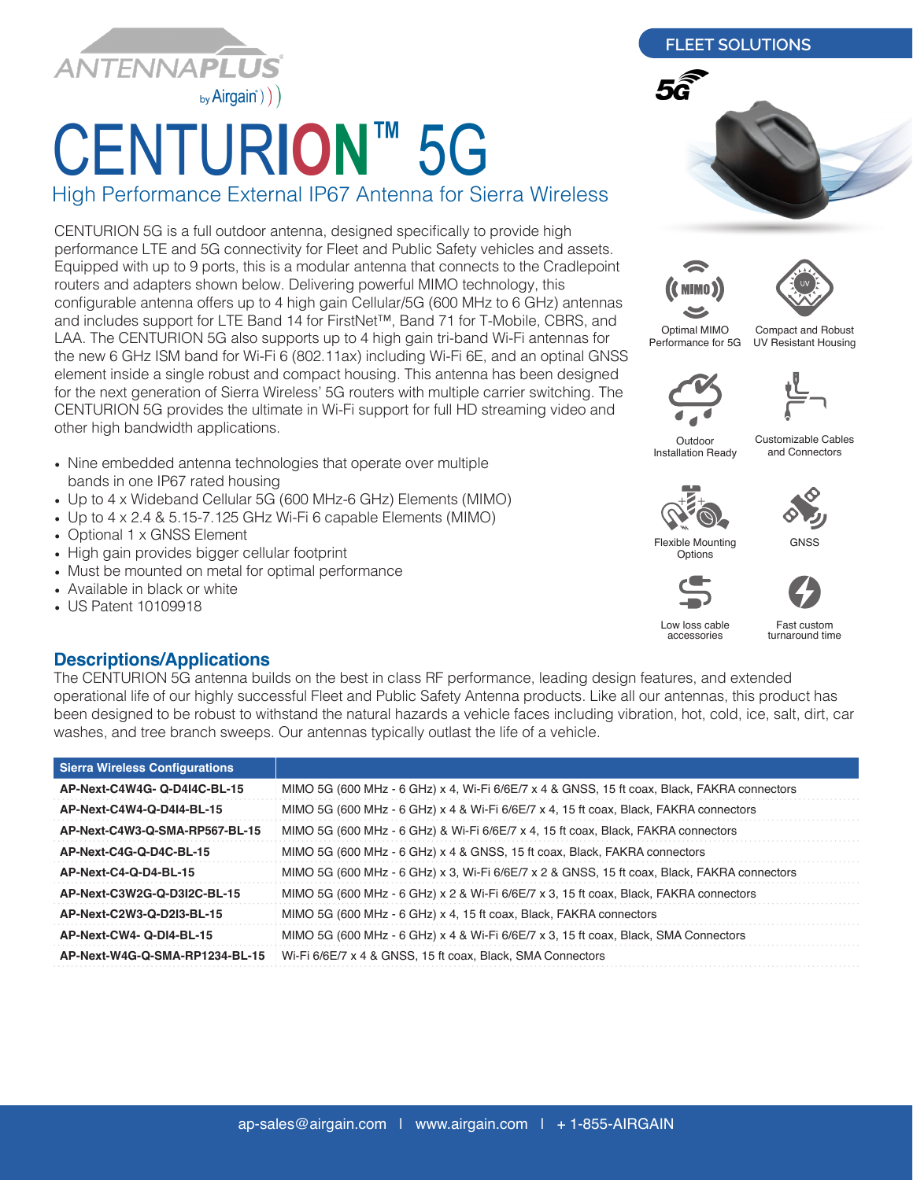

## CENTUR**ION™** 5G

High Performance External IP67 Antenna for Sierra Wireless

CENTURION 5G is a full outdoor antenna, designed specifically to provide high performance LTE and 5G connectivity for Fleet and Public Safety vehicles and assets. Equipped with up to 9 ports, this is a modular antenna that connects to the Cradlepoint routers and adapters shown below. Delivering powerful MIMO technology, this configurable antenna offers up to 4 high gain Cellular/5G (600 MHz to 6 GHz) antennas and includes support for LTE Band 14 for FirstNet™, Band 71 for T-Mobile, CBRS, and LAA. The CENTURION 5G also supports up to 4 high gain tri-band Wi-Fi antennas for the new 6 GHz ISM band for Wi-Fi 6 (802.11ax) including Wi-Fi 6E, and an optinal GNSS element inside a single robust and compact housing. This antenna has been designed for the next generation of Sierra Wireless' 5G routers with multiple carrier switching. The CENTURION 5G provides the ultimate in Wi-Fi support for full HD streaming video and other high bandwidth applications.

- Nine embedded antenna technologies that operate over multiple bands in one IP67 rated housing
- Up to 4 x Wideband Cellular 5G (600 MHz-6 GHz) Elements (MIMO)
- Up to 4 x 2.4 & 5.15-7.125 GHz Wi-Fi 6 capable Elements (MIMO)
- Optional 1 x GNSS Element
- High gain provides bigger cellular footprint
- Must be mounted on metal for optimal performance
- Available in black or white
- US Patent 10109918







Optimal MIMO Performance for 5G

Compact and Robust UV Resistant Housing



Outdoor Installation Ready

Customizable Cables and Connectors











Low loss cable accessories

Fast custom turnaround time

## **Descriptions/Applications**

The CENTURION 5G antenna builds on the best in class RF performance, leading design features, and extended operational life of our highly successful Fleet and Public Safety Antenna products. Like all our antennas, this product has been designed to be robust to withstand the natural hazards a vehicle faces including vibration, hot, cold, ice, salt, dirt, car washes, and tree branch sweeps. Our antennas typically outlast the life of a vehicle.

| <b>Sierra Wireless Configurations</b> |                                                                                             |
|---------------------------------------|---------------------------------------------------------------------------------------------|
| AP-Next-C4W4G-Q-D4I4C-BL-15           | MIMO 5G (600 MHz - 6 GHz) x 4, Wi-Fi 6/6E/7 x 4 & GNSS, 15 ft coax, Black, FAKRA connectors |
| AP-Next-C4W4-Q-D4I4-BL-15             | MIMO 5G (600 MHz - 6 GHz) x 4 & Wi-Fi 6/6E/7 x 4, 15 ft coax, Black, FAKRA connectors       |
| AP-Next-C4W3-Q-SMA-RP567-BL-15        | MIMO 5G (600 MHz - 6 GHz) & Wi-Fi 6/6E/7 x 4, 15 ft coax, Black, FAKRA connectors           |
| AP-Next-C4G-Q-D4C-BL-15               | MIMO 5G (600 MHz - 6 GHz) x 4 & GNSS, 15 ft coax, Black, FAKRA connectors                   |
| AP-Next-C4-Q-D4-BL-15                 | MIMO 5G (600 MHz - 6 GHz) x 3, Wi-Fi 6/6E/7 x 2 & GNSS, 15 ft coax, Black, FAKRA connectors |
| AP-Next-C3W2G-Q-D3I2C-BL-15           | MIMO 5G (600 MHz - 6 GHz) x 2 & Wi-Fi 6/6E/7 x 3, 15 ft coax, Black, FAKRA connectors       |
| AP-Next-C2W3-Q-D2I3-BL-15             | MIMO 5G (600 MHz - 6 GHz) x 4, 15 ft coax, Black, FAKRA connectors                          |
| AP-Next-CW4-Q-DI4-BL-15               | MIMO 5G (600 MHz - 6 GHz) x 4 & Wi-Fi 6/6E/7 x 3, 15 ft coax, Black, SMA Connectors         |
| AP-Next-W4G-Q-SMA-RP1234-BL-15        | Wi-Fi 6/6E/7 x 4 & GNSS, 15 ft coax, Black, SMA Connectors                                  |